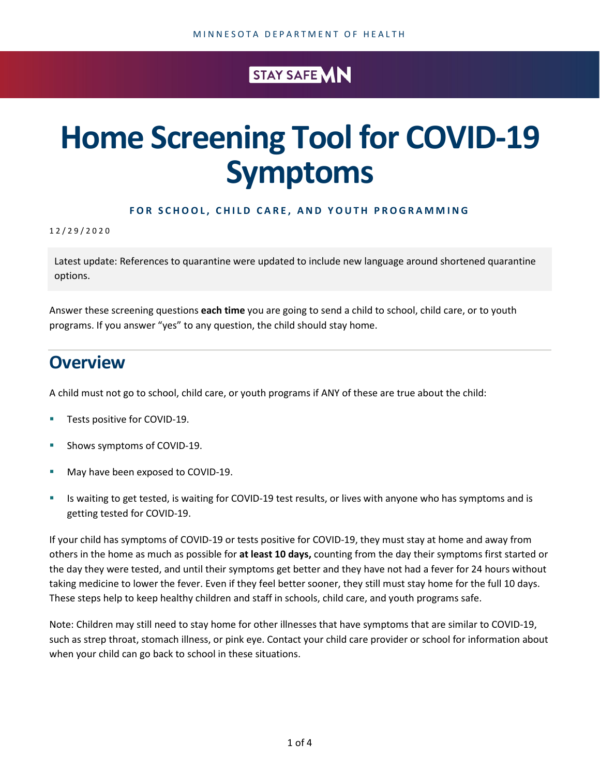# STAY SAFE MN

# **Home Screening Tool for COVID-19 Symptoms**

### **FOR SCHOOL, CHILD CARE, AND YOUTH PROGRAMMING**

#### 1 2 / 2 9 /2020

Latest update: References to quarantine were updated to include new language around shortened quarantine options.

Answer these screening questions **each time** you are going to send a child to school, child care, or to youth programs. If you answer "yes" to any question, the child should stay home.

## **Overview**

A child must not go to school, child care, or youth programs if ANY of these are true about the child:

- **Tests positive for COVID-19.**
- **Shows symptoms of COVID-19.**
- **May have been exposed to COVID-19.**
- If Its waiting to get tested, is waiting for COVID-19 test results, or lives with anyone who has symptoms and is getting tested for COVID-19.

If your child has symptoms of COVID-19 or tests positive for COVID-19, they must stay at home and away from others in the home as much as possible for **at least 10 days,** counting from the day their symptoms first started or the day they were tested, and until their symptoms get better and they have not had a fever for 24 hours without taking medicine to lower the fever. Even if they feel better sooner, they still must stay home for the full 10 days. These steps help to keep healthy children and staff in schools, child care, and youth programs safe.

Note: Children may still need to stay home for other illnesses that have symptoms that are similar to COVID-19, such as strep throat, stomach illness, or pink eye. Contact your child care provider or school for information about when your child can go back to school in these situations.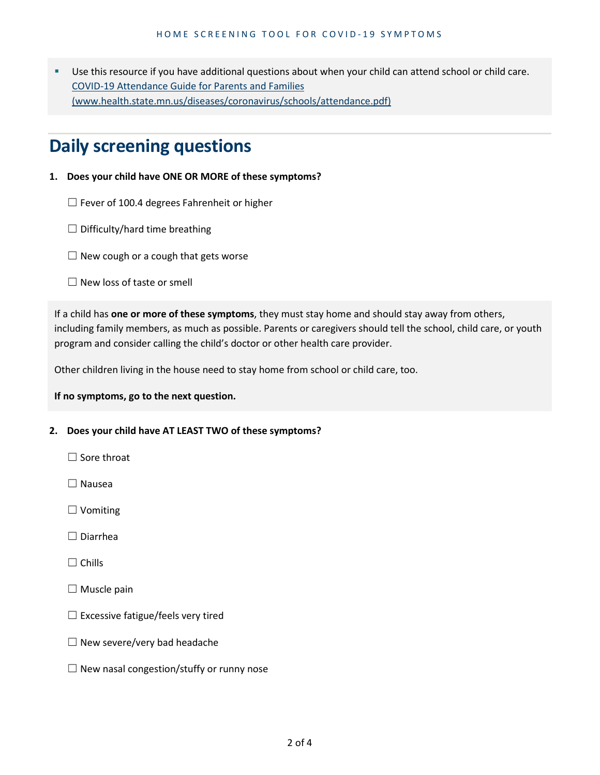Use this resource if you have additional questions about when your child can attend school or child care. [COVID-19 Attendance Guide for Parents and Families](https://www.health.state.mn.us/diseases/coronavirus/schools/attendance.pdf)  [\(www.health.state.mn.us/diseases/coronavirus/schools/attendance.pdf\)](https://www.health.state.mn.us/diseases/coronavirus/schools/attendance.pdf) 

## **Daily screening questions**

- **1. Does your child have ONE OR MORE of these symptoms?** 
	- $\Box$  Fever of 100.4 degrees Fahrenheit or higher
	- $\Box$  Difficulty/hard time breathing
	- $\Box$  New cough or a cough that gets worse
	- ☐ New loss of taste or smell

If a child has **one or more of these symptoms**, they must stay home and should stay away from others, including family members, as much as possible. Parents or caregivers should tell the school, child care, or youth program and consider calling the child's doctor or other health care provider.

Other children living in the house need to stay home from school or child care, too.

#### **If no symptoms, go to the next question.**

#### **2. Does your child have AT LEAST TWO of these symptoms?**

- □ Sore throat
- ☐ Nausea
- ☐ Vomiting
- ☐ Diarrhea
- $\Box$  Chills
- $\Box$  Muscle pain
- $\Box$  Excessive fatigue/feels very tired
- $\Box$  New severe/very bad headache
- $\Box$  New nasal congestion/stuffy or runny nose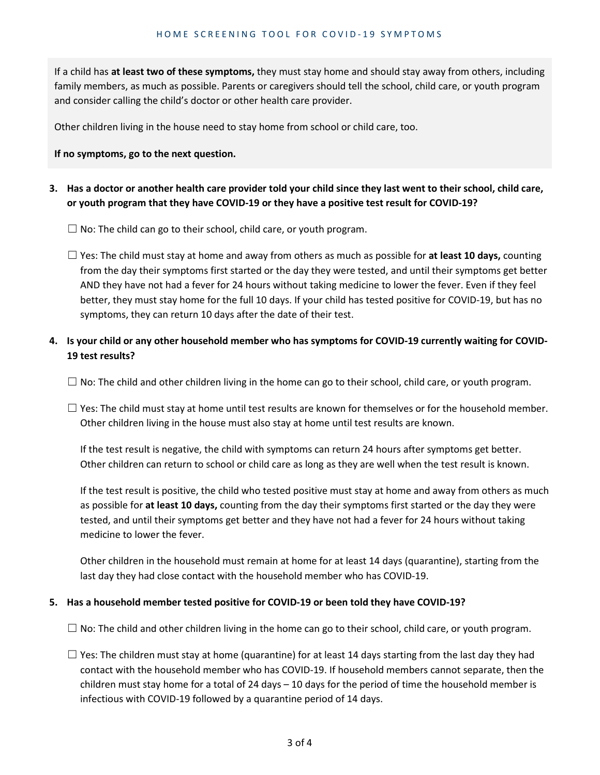If a child has **at least two of these symptoms,** they must stay home and should stay away from others, including family members, as much as possible. Parents or caregivers should tell the school, child care, or youth program and consider calling the child's doctor or other health care provider.

Other children living in the house need to stay home from school or child care, too.

#### **If no symptoms, go to the next question.**

- **3. Has a doctor or another health care provider told your child since they last went to their school, child care, or youth program that they have COVID-19 or they have a positive test result for COVID-19?** 
	- $\Box$  No: The child can go to their school, child care, or youth program.

☐ Yes: The child must stay at home and away from others as much as possible for **at least 10 days,** counting from the day their symptoms first started or the day they were tested, and until their symptoms get better AND they have not had a fever for 24 hours without taking medicine to lower the fever. Even if they feel better, they must stay home for the full 10 days. If your child has tested positive for COVID-19, but has no symptoms, they can return 10 days after the date of their test.

## **4. Is your child or any other household member who has symptoms for COVID-19 currently waiting for COVID-19 test results?**

 $\Box$  No: The child and other children living in the home can go to their school, child care, or youth program.

 $\Box$  Yes: The child must stay at home until test results are known for themselves or for the household member. Other children living in the house must also stay at home until test results are known.

If the test result is negative, the child with symptoms can return 24 hours after symptoms get better. Other children can return to school or child care as long as they are well when the test result is known.

If the test result is positive, the child who tested positive must stay at home and away from others as much as possible for **at least 10 days,** counting from the day their symptoms first started or the day they were tested, and until their symptoms get better and they have not had a fever for 24 hours without taking medicine to lower the fever.

Other children in the household must remain at home for at least 14 days (quarantine), starting from the last day they had close contact with the household member who has COVID-19.

#### **5. Has a household member tested positive for COVID-19 or been told they have COVID-19?**

 $\Box$  No: The child and other children living in the home can go to their school, child care, or youth program.

 $\Box$  Yes: The children must stay at home (quarantine) for at least 14 days starting from the last day they had contact with the household member who has COVID-19. If household members cannot separate, then the children must stay home for a total of 24 days – 10 days for the period of time the household member is infectious with COVID-19 followed by a quarantine period of 14 days.